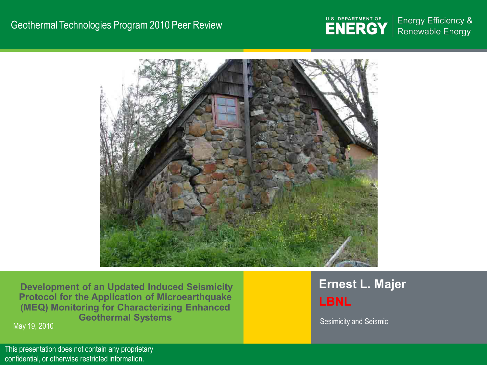#### Geothermal Technologies Program 2010 Peer Review



**Energy Efficiency &** Renewable Energy



**Development of an Updated Induced Seismicity Protocol for the Application of Microearthquake (MEQ) Monitoring for Characterizing Enhanced Geothermal Systems**  Sesimicity and Seismic Geothermal Systems and Sesimicity and Seismic May 19, 2010

**Ernest L. Majer LBNL**

 $\epsilon$  confidential, or otherwise restricted information. The contract of the contract of the confidential, or otherwise restricted information. This presentation does not contain any proprietary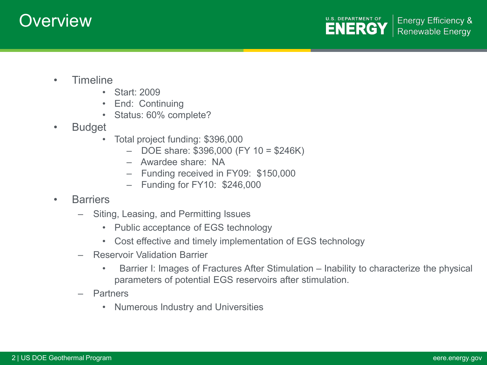# **Overview**

- Timeline
	- Start: 2009
	- End: Continuing
	- Status: 60% complete?
- Budget
	- Total project funding: \$396,000
		- DOE share: \$396,000 (FY 10 = \$246K)
		- Awardee share: NA
		- Funding received in FY09: \$150,000
		- Funding for FY10: \$246,000
- Barriers
	- Siting, Leasing, and Permitting Issues
		- Public acceptance of EGS technology
		- Cost effective and timely implementation of EGS technology
	- Reservoir Validation Barrier
		- Barrier I: Images of Fractures After Stimulation Inability to characterize the physical parameters of potential EGS reservoirs after stimulation.
	- Partners
		- Numerous Industry and Universities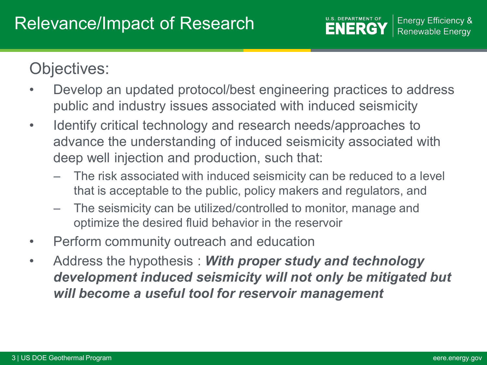# Objectives:

- Develop an updated protocol/best engineering practices to address public and industry issues associated with induced seismicity
- Identify critical technology and research needs/approaches to advance the understanding of induced seismicity associated with deep well injection and production, such that:
	- The risk associated with induced seismicity can be reduced to a level that is acceptable to the public, policy makers and regulators, and
	- The seismicity can be utilized/controlled to monitor, manage and optimize the desired fluid behavior in the reservoir
- Perform community outreach and education
- Address the hypothesis : *With proper study and technology development induced seismicity will not only be mitigated but will become a useful tool for reservoir management*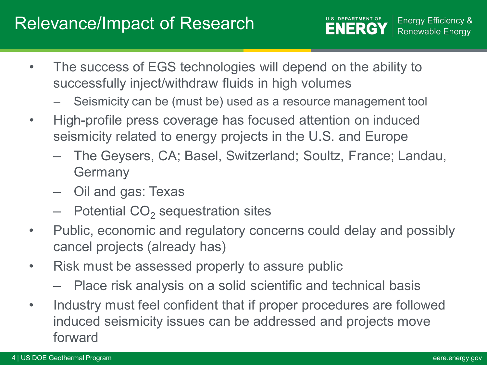## Relevance/Impact of Research

- The success of EGS technologies will depend on the ability to successfully inject/withdraw fluids in high volumes
	- Seismicity can be (must be) used as a resource management tool
- High-profile press coverage has focused attention on induced seismicity related to energy projects in the U.S. and Europe
	- The Geysers, CA; Basel, Switzerland; Soultz, France; Landau, **Germany**
	- Oil and gas: Texas
	- $-$  Potential CO<sub>2</sub> sequestration sites
- Public, economic and regulatory concerns could delay and possibly cancel projects (already has)
- Risk must be assessed properly to assure public
	- Place risk analysis on a solid scientific and technical basis
- Industry must feel confident that if proper procedures are followed induced seismicity issues can be addressed and projects move forward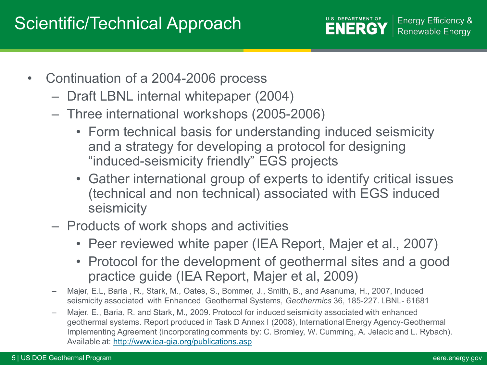# Scientific/Technical Approach



**Energy Efficiency & Renewable Energy** 

- Continuation of a 2004-2006 process
	- Draft LBNL internal whitepaper (2004)
	- Three international workshops (2005-2006)
		- Form technical basis for understanding induced seismicity and a strategy for developing a protocol for designing "induced-seismicity friendly" EGS projects
		- Gather international group of experts to identify critical issues (technical and non technical) associated with EGS induced seismicity
	- Products of work shops and activities
		- Peer reviewed white paper (IEA Report, Majer et al., 2007)
		- Protocol for the development of geothermal sites and a good practice guide (IEA Report, Majer et al, 2009)
	- Majer, E.L, Baria , R., Stark, M., Oates, S., Bommer, J., Smith, B., and Asanuma, H., 2007, Induced seismicity associated with Enhanced Geothermal Systems, *Geothermics* 36, 185-227. LBNL- 61681
	- Majer, E., Baria, R. and Stark, M., 2009. Protocol for induced seismicity associated with enhanced geothermal systems. Report produced in Task D Annex I (2008), International Energy Agency-Geothermal Implementing Agreement (incorporating comments by: C. Bromley, W. Cumming, A. Jelacic and L. Rybach). Available at:<http://www.iea-gia.org/publications.asp>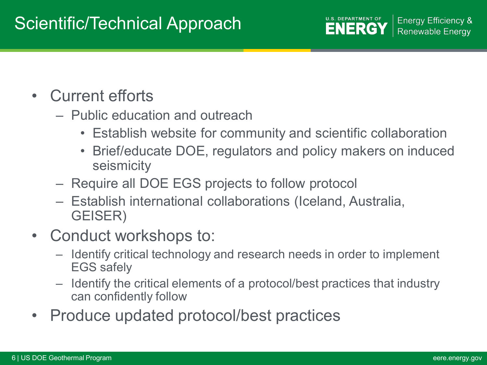# Scientific/Technical Approach

- Current efforts
	- Public education and outreach
		- Establish website for community and scientific collaboration
		- Brief/educate DOE, regulators and policy makers on induced seismicity
	- Require all DOE EGS projects to follow protocol
	- Establish international collaborations (Iceland, Australia, GEISER)
- Conduct workshops to:
	- Identify critical technology and research needs in order to implement EGS safely
	- Identify the critical elements of a protocol/best practices that industry can confidently follow
- Produce updated protocol/best practices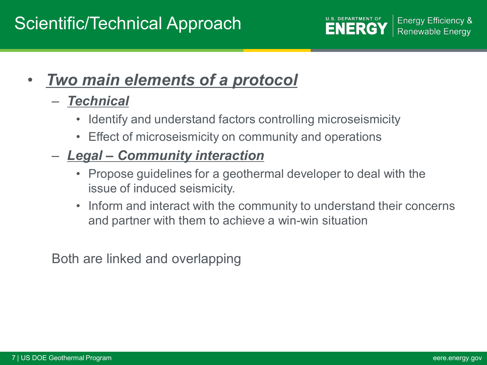# Scientific/Technical Approach



• *Two main elements of a protocol*

### – *Technical*

- Identify and understand factors controlling microseismicity
- Effect of microseismicity on community and operations
- *Legal – Community interaction*
	- Propose guidelines for a geothermal developer to deal with the issue of induced seismicity.
	- Inform and interact with the community to understand their concerns and partner with them to achieve a win-win situation

Both are linked and overlapping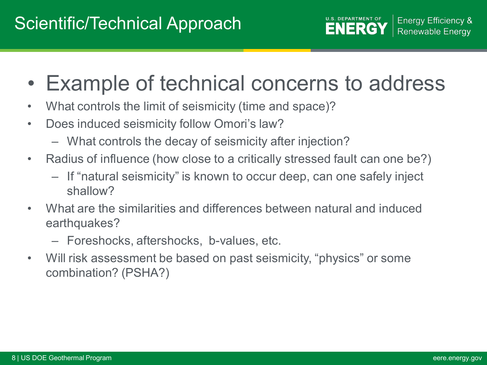- Example of technical concerns to address
- What controls the limit of seismicity (time and space)?
- Does induced seismicity follow Omori's law?
	- What controls the decay of seismicity after injection?
- Radius of influence (how close to a critically stressed fault can one be?)
	- If "natural seismicity" is known to occur deep, can one safely inject shallow?
- What are the similarities and differences between natural and induced earthquakes?
	- Foreshocks, aftershocks, b-values, etc.
- Will risk assessment be based on past seismicity, "physics" or some combination? (PSHA?)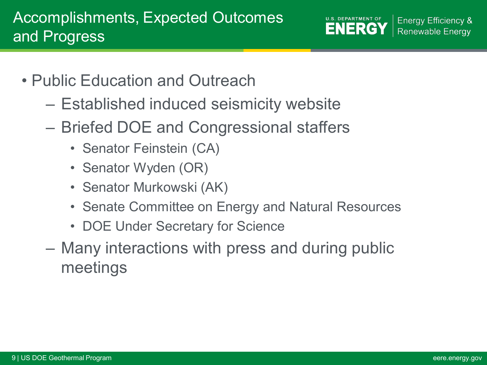**U.S. DEPARTMENT OF Energy Efficiency & ENERGY Renewable Energy** 

- Public Education and Outreach
	- Established induced seismicity website
	- Briefed DOE and Congressional staffers
		- Senator Feinstein (CA)
		- Senator Wyden (OR)
		- Senator Murkowski (AK)
		- Senate Committee on Energy and Natural Resources
		- DOE Under Secretary for Science
	- Many interactions with press and during public meetings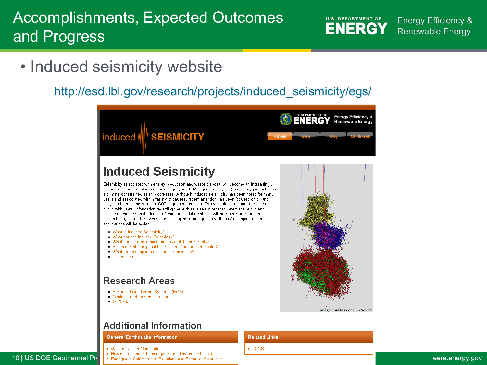## Accomplishments, Expected Outcomes and Progress

**U.S. DEPARTMENT OF ENERGY** 

**Energy Efficiency & Renewable Energy** 

• Induced seismicity website

### [http://esd.lbl.gov/research/projects/induced\\_seismicity/egs/](http://esd.lbl.gov/research/projects/induced_seismicity/egs/)



#### **General Earthquake Information**

- . What is Richter Magnitude?
- 
- 10 | US DOE Geothermal Program extending the energy released by an earthquake?<br>10 | US DOE Geothermal Program extension external explorations and Formulas Calculator and the energy of the street explorations and Formulas C

#### **Related Links**

 $\bullet$  USGS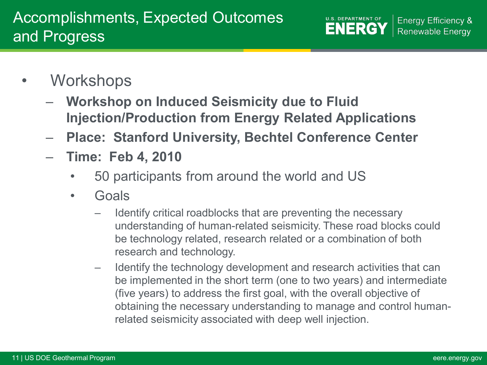**U.S. DEPARTMENT OF Energy Efficiency & ENERGY Renewable Energy** 

- Workshops
	- **Workshop on Induced Seismicity due to Fluid Injection/Production from Energy Related Applications**
	- **Place: Stanford University, Bechtel Conference Center**
	- **Time: Feb 4, 2010**
		- 50 participants from around the world and US
		- Goals
			- Identify critical roadblocks that are preventing the necessary understanding of human-related seismicity. These road blocks could be technology related, research related or a combination of both research and technology.
			- Identify the technology development and research activities that can be implemented in the short term (one to two years) and intermediate (five years) to address the first goal, with the overall objective of obtaining the necessary understanding to manage and control humanrelated seismicity associated with deep well injection.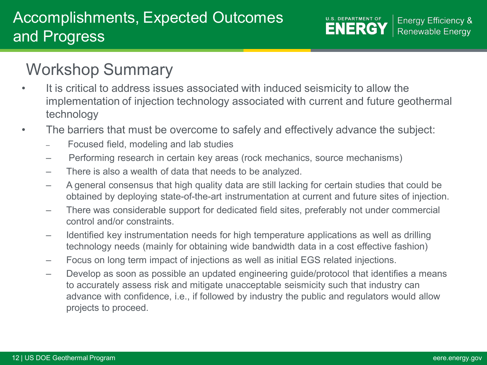**U.S. DEPARTMENT OF Energy Efficiency & ENERGY Renewable Energy** 

# Workshop Summary

- It is critical to address issues associated with induced seismicity to allow the implementation of injection technology associated with current and future geothermal technology
- The barriers that must be overcome to safely and effectively advance the subject:
	- Focused field, modeling and lab studies
	- Performing research in certain key areas (rock mechanics, source mechanisms)
	- There is also a wealth of data that needs to be analyzed.
	- A general consensus that high quality data are still lacking for certain studies that could be obtained by deploying state-of-the-art instrumentation at current and future sites of injection.
	- There was considerable support for dedicated field sites, preferably not under commercial control and/or constraints.
	- Identified key instrumentation needs for high temperature applications as well as drilling technology needs (mainly for obtaining wide bandwidth data in a cost effective fashion)
	- Focus on long term impact of injections as well as initial EGS related injections.
	- Develop as soon as possible an updated engineering guide/protocol that identifies a means to accurately assess risk and mitigate unacceptable seismicity such that industry can advance with confidence, i.e., if followed by industry the public and regulators would allow projects to proceed.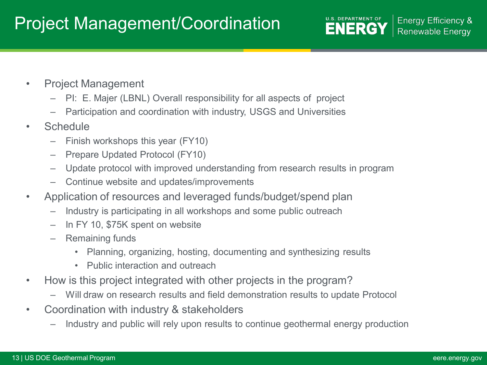# Project Management/Coordination

- Project Management
	- PI: E. Majer (LBNL) Overall responsibility for all aspects of project
	- Participation and coordination with industry, USGS and Universities
- **Schedule** 
	- Finish workshops this year (FY10)
	- Prepare Updated Protocol (FY10)
	- Update protocol with improved understanding from research results in program
	- Continue website and updates/improvements
- Application of resources and leveraged funds/budget/spend plan
	- Industry is participating in all workshops and some public outreach
	- In FY 10, \$75K spent on website
	- Remaining funds
		- Planning, organizing, hosting, documenting and synthesizing results
		- Public interaction and outreach
- How is this project integrated with other projects in the program?
	- Will draw on research results and field demonstration results to update Protocol
- Coordination with industry & stakeholders
	- Industry and public will rely upon results to continue geothermal energy production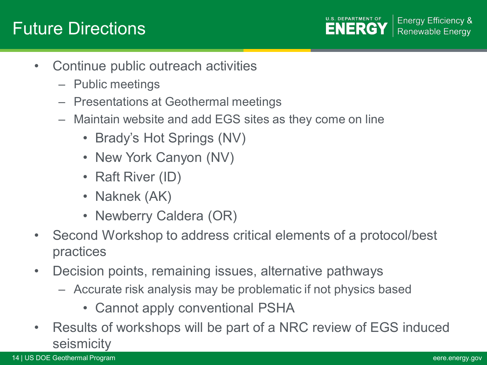# Future Directions

**U.S. DEPARTMENT OF Energy Efficiency & ENERGY Renewable Energy** 

- Continue public outreach activities
	- Public meetings
	- Presentations at Geothermal meetings
	- Maintain website and add EGS sites as they come on line
		- Brady's Hot Springs (NV)
		- New York Canyon (NV)
		- Raft River (ID)
		- Naknek (AK)
		- Newberry Caldera (OR)
- Second Workshop to address critical elements of a protocol/best practices
- Decision points, remaining issues, alternative pathways
	- Accurate risk analysis may be problematic if not physics based
		- Cannot apply conventional PSHA
- Results of workshops will be part of a NRC review of EGS induced seismicity